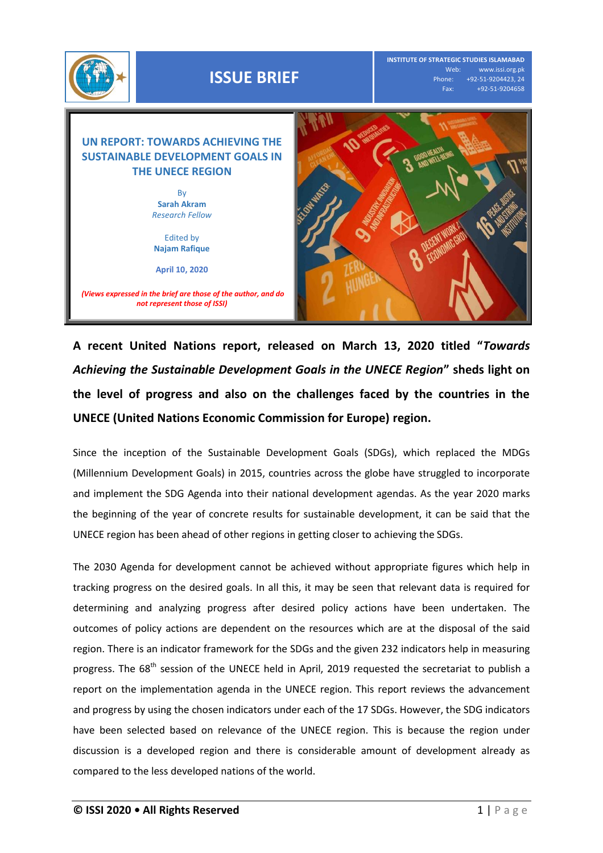

**A recent United Nations report, released on March 13, 2020 titled "***Towards Achieving the Sustainable Development Goals in the UNECE Region***" sheds light on the level of progress and also on the challenges faced by the countries in the UNECE (United Nations Economic Commission for Europe) region.** 

Since the inception of the Sustainable Development Goals (SDGs), which replaced the MDGs (Millennium Development Goals) in 2015, countries across the globe have struggled to incorporate and implement the SDG Agenda into their national development agendas. As the year 2020 marks the beginning of the year of concrete results for sustainable development, it can be said that the UNECE region has been ahead of other regions in getting closer to achieving the SDGs.

The 2030 Agenda for development cannot be achieved without appropriate figures which help in tracking progress on the desired goals. In all this, it may be seen that relevant data is required for determining and analyzing progress after desired policy actions have been undertaken. The outcomes of policy actions are dependent on the resources which are at the disposal of the said region. There is an indicator framework for the SDGs and the given 232 indicators help in measuring progress. The 68<sup>th</sup> session of the UNECE held in April, 2019 requested the secretariat to publish a report on the implementation agenda in the UNECE region. This report reviews the advancement and progress by using the chosen indicators under each of the 17 SDGs. However, the SDG indicators have been selected based on relevance of the UNECE region. This is because the region under discussion is a developed region and there is considerable amount of development already as compared to the less developed nations of the world.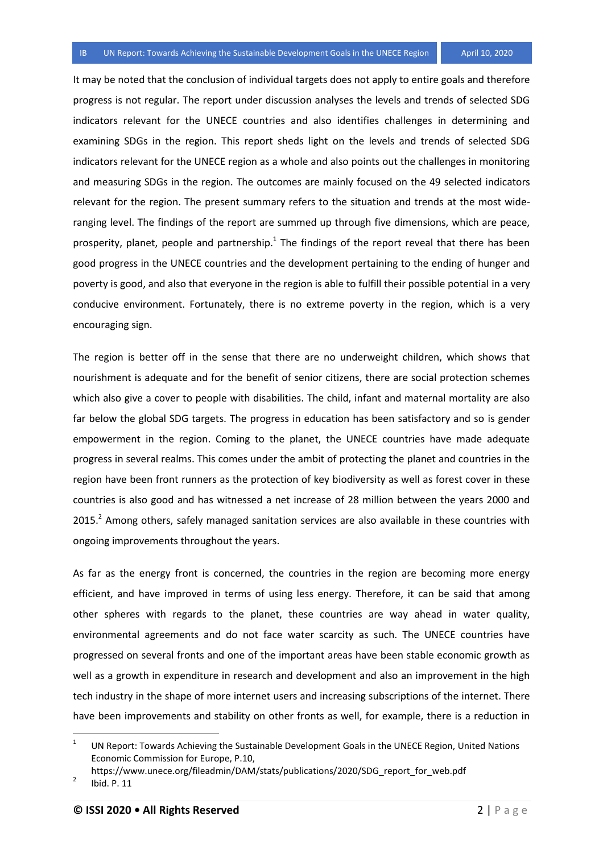It may be noted that the conclusion of individual targets does not apply to entire goals and therefore progress is not regular. The report under discussion analyses the levels and trends of selected SDG indicators relevant for the UNECE countries and also identifies challenges in determining and examining SDGs in the region. This report sheds light on the levels and trends of selected SDG indicators relevant for the UNECE region as a whole and also points out the challenges in monitoring and measuring SDGs in the region. The outcomes are mainly focused on the 49 selected indicators relevant for the region. The present summary refers to the situation and trends at the most wideranging level. The findings of the report are summed up through five dimensions, which are peace, prosperity, planet, people and partnership.<sup>1</sup> The findings of the report reveal that there has been good progress in the UNECE countries and the development pertaining to the ending of hunger and poverty is good, and also that everyone in the region is able to fulfill their possible potential in a very conducive environment. Fortunately, there is no extreme poverty in the region, which is a very encouraging sign.

The region is better off in the sense that there are no underweight children, which shows that nourishment is adequate and for the benefit of senior citizens, there are social protection schemes which also give a cover to people with disabilities. The child, infant and maternal mortality are also far below the global SDG targets. The progress in education has been satisfactory and so is gender empowerment in the region. Coming to the planet, the UNECE countries have made adequate progress in several realms. This comes under the ambit of protecting the planet and countries in the region have been front runners as the protection of key biodiversity as well as forest cover in these countries is also good and has witnessed a net increase of 28 million between the years 2000 and 2015.<sup>2</sup> Among others, safely managed sanitation services are also available in these countries with ongoing improvements throughout the years.

As far as the energy front is concerned, the countries in the region are becoming more energy efficient, and have improved in terms of using less energy. Therefore, it can be said that among other spheres with regards to the planet, these countries are way ahead in water quality, environmental agreements and do not face water scarcity as such. The UNECE countries have progressed on several fronts and one of the important areas have been stable economic growth as well as a growth in expenditure in research and development and also an improvement in the high tech industry in the shape of more internet users and increasing subscriptions of the internet. There have been improvements and stability on other fronts as well, for example, there is a reduction in

 $\frac{1}{1}$ UN Report: Towards Achieving the Sustainable Development Goals in the UNECE Region, United Nations Economic Commission for Europe, P.10,

https://www.unece.org/fileadmin/DAM/stats/publications/2020/SDG\_report\_for\_web.pdf

<sup>2</sup> Ibid. P. 11